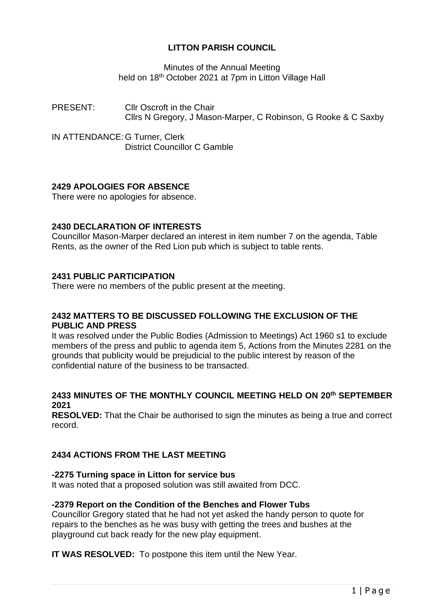# **LITTON PARISH COUNCIL**

Minutes of the Annual Meeting held on 18<sup>th</sup> October 2021 at 7pm in Litton Village Hall

PRESENT: Cllr Oscroft in the Chair Cllrs N Gregory, J Mason-Marper, C Robinson, G Rooke & C Saxby

IN ATTENDANCE: G Turner, Clerk District Councillor C Gamble

# **2429 APOLOGIES FOR ABSENCE**

There were no apologies for absence.

## **2430 DECLARATION OF INTERESTS**

Councillor Mason-Marper declared an interest in item number 7 on the agenda, Table Rents, as the owner of the Red Lion pub which is subject to table rents.

## **2431 PUBLIC PARTICIPATION**

There were no members of the public present at the meeting.

## **2432 MATTERS TO BE DISCUSSED FOLLOWING THE EXCLUSION OF THE PUBLIC AND PRESS**

It was resolved under the Public Bodies (Admission to Meetings) Act 1960 s1 to exclude members of the press and public to agenda item 5, Actions from the Minutes 2281 on the grounds that publicity would be prejudicial to the public interest by reason of the confidential nature of the business to be transacted.

## **2433 MINUTES OF THE MONTHLY COUNCIL MEETING HELD ON 20th SEPTEMBER 2021**

**RESOLVED:** That the Chair be authorised to sign the minutes as being a true and correct record.

# **2434 ACTIONS FROM THE LAST MEETING**

## **-2275 Turning space in Litton for service bus**

It was noted that a proposed solution was still awaited from DCC.

## **-2379 Report on the Condition of the Benches and Flower Tubs**

Councillor Gregory stated that he had not yet asked the handy person to quote for repairs to the benches as he was busy with getting the trees and bushes at the playground cut back ready for the new play equipment.

**IT WAS RESOLVED:** To postpone this item until the New Year.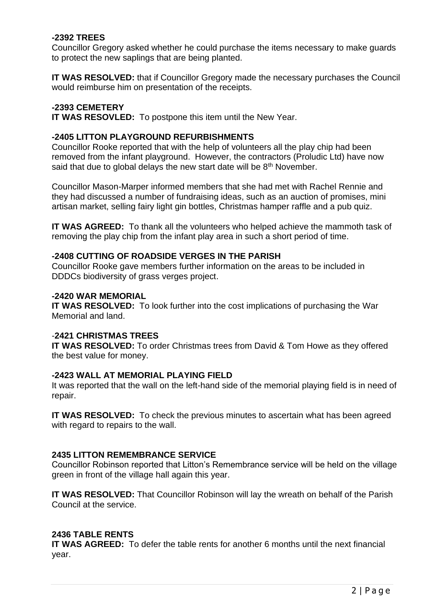## **-2392 TREES**

Councillor Gregory asked whether he could purchase the items necessary to make guards to protect the new saplings that are being planted.

**IT WAS RESOLVED:** that if Councillor Gregory made the necessary purchases the Council would reimburse him on presentation of the receipts.

## **-2393 CEMETERY**

**IT WAS RESOVLED:** To postpone this item until the New Year.

#### **-2405 LITTON PLAYGROUND REFURBISHMENTS**

Councillor Rooke reported that with the help of volunteers all the play chip had been removed from the infant playground. However, the contractors (Proludic Ltd) have now said that due to global delays the new start date will be  $8<sup>th</sup>$  November.

Councillor Mason-Marper informed members that she had met with Rachel Rennie and they had discussed a number of fundraising ideas, such as an auction of promises, mini artisan market, selling fairy light gin bottles, Christmas hamper raffle and a pub quiz.

**IT WAS AGREED:** To thank all the volunteers who helped achieve the mammoth task of removing the play chip from the infant play area in such a short period of time.

#### **-2408 CUTTING OF ROADSIDE VERGES IN THE PARISH**

Councillor Rooke gave members further information on the areas to be included in DDDCs biodiversity of grass verges project.

#### **-2420 WAR MEMORIAL**

**IT WAS RESOLVED:** To look further into the cost implications of purchasing the War Memorial and land.

#### -**2421 CHRISTMAS TREES**

**IT WAS RESOLVED:** To order Christmas trees from David & Tom Howe as they offered the best value for money.

#### **-2423 WALL AT MEMORIAL PLAYING FIELD**

It was reported that the wall on the left-hand side of the memorial playing field is in need of repair.

**IT WAS RESOLVED:** To check the previous minutes to ascertain what has been agreed with regard to repairs to the wall.

## **2435 LITTON REMEMBRANCE SERVICE**

Councillor Robinson reported that Litton's Remembrance service will be held on the village green in front of the village hall again this year.

**IT WAS RESOLVED:** That Councillor Robinson will lay the wreath on behalf of the Parish Council at the service.

## **2436 TABLE RENTS**

**IT WAS AGREED:** To defer the table rents for another 6 months until the next financial year.